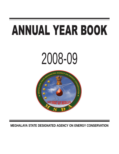# ANNUAL YEAR BOOK





**MEGHALAYA STATE DESIGNATED AGENCY ON ENERGY CONSERVATION**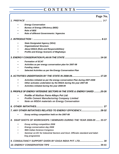# **CONTENTS**

|                              | Page No.                                                                                       |
|------------------------------|------------------------------------------------------------------------------------------------|
|                              |                                                                                                |
|                              | <b>Energy Conservation</b>                                                                     |
|                              | <b>Bureau of Energy Efficiency (BEE)</b>                                                       |
|                              | <b>Role of BEE</b>                                                                             |
|                              | Role of different Governments / Agencies                                                       |
|                              |                                                                                                |
|                              | <b>State Designated Agency (SDA)</b>                                                           |
|                              | <b>Organizational Structure</b>                                                                |
|                              | <b>About MSDA (Role and Responsibilities)</b>                                                  |
|                              | <b>Profile and Energy Scenario of Meghalaya</b>                                                |
|                              |                                                                                                |
|                              | <b>Formation of ECAT</b>                                                                       |
|                              | Activities as per energy conservation plan for 2007-08                                         |
|                              | <b>Funding status</b>                                                                          |
|                              | Selected Activities as per the Energy Conservation Plan                                        |
|                              |                                                                                                |
|                              | Activities initiated as per the energy conservation Plan during 2007-2008                      |
|                              | Other activates undertaken by the MSDA during the year 2007-08                                 |
|                              | Activities initiated during the year 2008-09                                                   |
|                              | 5. PROFILE OF ENERGY INTENSIVE SECTORS IN THE STATE & ENERGY SAVED 20-26                       |
|                              | <b>Profile of Maithan Ferro-Alloys Pvt Ltd:</b>                                                |
|                              | <b>Profile Cement Manufacturing Company Limited</b>                                            |
|                              | <b>Note on MSDA materials on Energy Conservation</b>                                           |
| <b>6. OTHER INITIATIVES.</b> |                                                                                                |
|                              | 7. ANY OTHER INITIATIVES RELATED TO ENERGY EFFICIENCY 28-32                                    |
|                              | Essay writing competition held on the 2007-08                                                  |
|                              | 8. SNAP SHOTS OF WORKSHOPS / SEMINARS DURING THE YEAR 2008-09  33-37                           |
|                              | <b>Essay writing competition 2008</b>                                                          |
|                              | <b>Energy conservation day 2008</b>                                                            |
|                              | 96th Indian Science Congress                                                                   |
|                              | Seminar on EC for Industrial Sectors and Govt. Officials standard and label-<br>ling programme |
|                              |                                                                                                |
|                              |                                                                                                |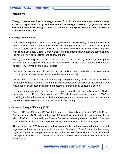### **1. PREFACE :**

"**Energy" means any form of energy derived from fossils fuels, nuclear substances or materials, Hydro-electricity includes electrical energy or electricity generated from renewable sources of energy or biomass connected to the grid. -Section 2(h) of the Energy Conservation Act, 2001** 

#### • **Energy Conservation**

With the dismal power scenario and energy crises that we are facing, Energy conservation turns out to be a key element in energy Policy. Energy Conservation can help reducing the demand supply gap with the demand which is always on the rise due to an advance development which has taken place. Energy Conservation if fully implemented can reduce the cost of energy, the need for new power plants and energy imports.

Energy conservation plays a crucial role in lessening climate change by reduction in atmospheric emission from power plants, industrial facilities and motor vehicles. It also reduces the numerous negative environmental and social impacts.

Energy conservation extends the life of equipment and appliances and reduces the maintenance cost by operating less hours and at less the maximum capacity.

About, 25,000 MW of capacity addition through energy efficiency only in the electricity sector has been estimated in India. 23% of the Energy Conservation potential for the economy as a whole has been assessed with minimum potential in industrial at agricultural sectors.

Recognizing the vast potential of energy saving and benefits of energy efficiency, the Govt of India enacted the Energy Conservation Act 2001 which came into force in March, 2002 for providing the legal framework, institutional arrangement and a regulatory mechanism at the central and state level for promoting efficiency in the country.

#### • **Bureau of Energy Efficiency (BEE)**

Bureau of Energy Efficiency (BEE) a statutory body established under Section 3(1)of the Energy Conservation Act 2001 under the Ministry of Power, Government of India was set up on the 1st March 2002 and it is headed by the Director General, at its headquarter at New Delhi . The ideal goal behind its instigation is to implement energy conservation activities at a large scale.

The mission of the BEE is to assist in developing policies and strategies with a thrust on selfregulation and market principles within the overall framework of the EC Act with the primary objective of reducing energy intensity aspect of the Indian economy. This will be achieved with active participation of all stakeholders in accelerated and sustained adoption of energy efficiency in all sectors.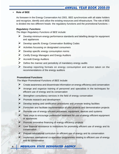#### **• Role of BEE**

As foreseen in the Energy Conservation Act 2001. BEE synchronizes with all stake holders and recognize, identify and utilize the existing resources and infrastructure. The role of BEE is divided into two different heads- the regulatory functions and the promotional functions :-

#### **Regulatory Funcitons**

The Major Regulatory Functions of BEE include:

- $\triangleright$  Develop minimum energy performance standards and labelling design for equipment and appliances
- $\triangleright$  Develop specific Energy Conservation Building Codes
- � Activities focussing on designated consumers
- � Develop specific energy consumption norms
- � Certify Energy Managers and Energy Auditors
- � Accredit Energy Auditors
- $\triangleright$  Define the manner and periodicity of mandatory energy audits
- $\triangleright$  Develop reporting formats on energy consumption and action taken on the recommendations of the energy auditors

#### **Promotional Functions**

The Major Promotional Functions of BEE include:

- $\triangleright$  Create awareness and disseminate information on energy efficiency and conservation
- � Arrange and organize training of personnel and specialists in the techniques for efficient use of energy and its conservation
- $\triangleright$  Strengthen consultancy services in the field of energy conservation
- $\triangleright$  Promote research and development
- $\triangleright$  Develop testing and certification procedures and promote testing facilities
- $\triangleright$  Formulate and facilitate implementation of pilot projects and demonstration projects
- $\triangleright$  Promote use of energy efficient processes, equipment, devices and systems
- $\triangleright$  Take steps to encourage preferential treatment for use of energy efficient equipment or appliances
- $\triangleright$  Promote innovative financing of energy efficiency projects
- $\triangleright$  Give financial assistance to institutions for promoting efficient use of energy and its conservation
- $\triangleright$  Prepare educational curriculum on efficient use of energy and its conservation
- $\triangleright$  Implement international co-operation programmes relating to efficient use of energy and its conservation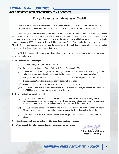## ANNUAL YEAR BOOK 2008-09 **ROLE OF DIFFERENT GOVERNMENTS / AGENCIES:**

## **Energy Conservation Measures in MeSEB**

The MeSEB is engaged in the Generation, Transmission and Distribution of Electricity and caters to over 2 % lakh consumers. As on 31.03.08 its connected load is about-338 MW. It instaHed capacity is just 185.2 MW.

The annual generation of energy is projected at 579.96 MU for the Year 08-09. The annual energy requirement for the same year is 1623.39 MU. An estimated 1043.43 MU is to be procured from other sources. Therefore there is acute shortage of power in MeSEB. Besides the MLHEP which is expected to add about 360 MU annually, will only be commissioned by 2009 at the earliest. It is with this in mind, that Energy Conservation becomes extremely vital for MeSEB. Demand side management has become the immediate need not only because generation of power costs, but also because there is acute shortage of power in the region.

In MeSEB, a number of measures have been taken up to conserve energy. Some of these measures can be categorized as follows:

#### **A. Public Awareness Campaigns**

- (i) Talks on DDK, AIR, Cable news channels.
- (ii) Design and distribution of Book Marks with Energy Conservation Tips,
- (iii) Annual observance of Energy Conservation Day on 14th December through design and display of Ads in local newspaper, printing of banners and display at prominent areas of capital and district Hq.
- (iv) Design of conservation Video Clips in Local languages (Khasi) and display on Cable TV.
- (v) Participation in Govt. fair, displaying energy conservation themes,
- (vi) Coordination activities in Schools organized by TERI on behalf of BEE.
- (vii) The Energy Conservation team was started in 1996. Presently the Energy Management Cell under EE MTI is engaged in carrying out awareness activities.

#### **B. Conservation Measures in MeSEB**

- (i) A guideline has been issued in 2007 to all Sub-divsions/Estate officers to exercise energy conservation measures such as phase-wise replacement of in efficient lighting systems with energy efficient, ones such as CFLs and energy saving Sodium/Mercury Vapour street lighting systems..
- (ii) The Sub divisional officers have been instructed to check the monitor the summer /winter timings of Timer switches installed for street lighting systems so that the lights do not glow during the day..
- (iii) All MeSEB offices are to use energy efficient lamps and propose their installation for new sub station/ offices.
- **C. Coordination with Bureau of Energy Efficiency for pamphlets, placards**
- **D. Being part of the state designated agency on Energy Conservation.**

**Public Relation Officer, MeSEB, Shillong** 

MEGHLAYA STATE DESIGNATED AGENCY DESIGNATED AGENCY **5**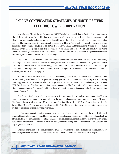# **ENERGY CONSERVATION STRATEGIES OF NORTH EASTERN ELECTRIC POWER CORPORATION**

North Eastern Electric Power Corporation (NEEPCO) Ltd. was established in April, 1976 under the aegis of the Ministry of Power, Govt. of India with the objective of harnessing vast hydro and thermal power potential of the region for producing pollution free and inexhaustible power through planned development of power generation projects. The Corporation, with present installed capacity of 1130 MW, has 5 (five) Nos. of power plants under operation which comprise of 2(two) Nos. of Gas Based Power Plants and the remaining 3(three) Nos. of hydro plants. Further, the Corporation has 2 (two) Nos. of Hydro Plants and 1(one) No of Gas Based Power Plants under different stages of construction. In addition to above, the Corporation is contemplating to execute number of future hydro & thermal power projects in the region.

The operational Gas Based Power Plants of the Corporation, commissioned way back in the last decade, was designed based on the efficiency and the energy conservation parameters prevalent during that time, which definitely does not suffice to the present energy conservation norms. With widespread awareness on the energy conservation, the Corporation has taken necessary action in regard to enhancement of efficiency of machines as well as optimization of plant equipments.

In order to locate the areas of the plants where the energy conservation techniques can be applied thereby resulting in higher efficiency, the Corporation has engaged M/s CPRI, a Govt .of India Enterprise, for carrying out Energy Audit at two of its Power Plants viz. Agartala Gas Turbine Project (84 MW) and Doyang H.E. Project (75 MW). The report of the Auditing is at final stage of preparation. The Corporation will consider implementation of recommendations on Energy Audit which will assist in continual saving in energy and will have far reaching effect on Energy Conservation.

The Corporation has also taken up necessary action for conversion of mode of operation of AGTP from open cycle mode to combined cycle mode which will result in higher energy conservation and greater efficiency. The Renovation & Modernization (R&M) of Assam Gas Based Power Plant (291 MW) as well as Kopili H.E. Power Plant (275 MW) are also being contemplated by NEEPCO as a part of energy conservation measures as well as optimization of efficiency of power plant.

The Corporation contemplates to undertake various energy conservation measures like use of LDR based street light controller, minimization of boiler blow down, use of energy efficient air conditioners, regular check up of valve fittings for minimization of leakage etc. The technical specifications of all power plants which are under construction and are to be constructed in future are being framed following latest norms of the Energy Conservation as per guidelines of BEE.

The implementation of the above measures envisages retrofitting of some old systems and equipment by more energy efficient ones which is cost intensive and as such, the same will be carried out in stages.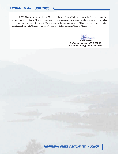NEEPCO has been entrusted by the Ministry of Power, Govt. of India to organize the State Level painting competition in the State of Meghalaya as a part of Energy conservation programme of the Government of India. The programme which started since 2005, is hosted by the Corporation on 14<sup>th</sup> November every year, with the assistance of the State Council of Science, Technology & Environment, Govt. of Meghalaya.

**(S.R.Biswas) Dy.General Manager (E), NEEPCO & Certified Energy Auditor(EA-6577**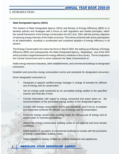## 2. INTRODUCTION :

### **State Designated Agency (SDA)**

The mission of State Designated Agency (SDA) and Bureau of Energy Efficiency (BEE) is to develop policies and strategies with a thrust on self--regulation and market principles, within the overall framework of the Energy Conservation Act (EC Act), 2001 with the primary objective of reducing energy intensity of the Indian economy. This will be achieved with active participation of all stakeholders, resulting in accelerated and sustained adoption of energy efficiency in all sectors.

The Energy Conservation Act came into force in March 2002. the setting up of Bureau of Energy Efficiency (BEE) and subsequently, the State Designated Agency, Meghalaya, one of the SDA which provides a legal framework for energy efficiency initiatives in the country. The Act empowers the Central Government and in some instances the State Governments to:

Notify energy intensive industries, other establishments, and commercial buildings as designated consumers.

Establish and prescribe energy consumption norms and standards for designated consumers

Direct designated consumers to

- Designate or appoint certified energy manager in charge of activities for efficient use of energy and its conservation
- Get an energy audit conducted by an accredited energy auditor in the specified manner and intervals of time.
- • Furnish information with regard to energy consumed and action taken on . the recommendation of the accredited energy auditor to the designated agency.
- Comply with energy consumption norms and standards, and if not so, to prepare and implement schemes for efficient use of energy and its conservation.
- Prescribe energy conservation building codes for efficient use of energy and its conservation in commercial buildings.
- Amend the energy conservation building codes to suit regional and local climatic conditions.
- Direct owners or occupiers of commercial buildings to comply with the provisions of energy conservation building codes.
- Direct mandatory display of label on notified equipment and appliances.

## **8** MEGHLAYA STATE DESIGNATED AGENCY MEGHLAYA STATE AGENCY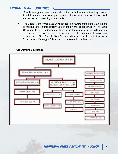- Specify energy consumption standards for notified equipment and appliance. Prohibit manufacture, sale, purchase and import of notified equipment and appliances not conforming to standards.
- The Energy Conservation Act, 2001 defines the powers of the State Government to facilitate and enforce efficient use of energy and its conservation. The State Governments have to designate State Designated Agencies in consultation with the Bureau of Energy Efficiency to coordinate, regulate and enforce the provisions of the Act in the State. Thus the State Designated Agencies are the strategic partners for promotion of energy efficiency and its conservation in the country.

#### **• Organizational Structure**

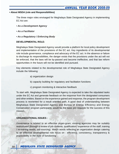#### **• About MSDA (role and Responsibilities)**

The three major roles envisaged for Meghalaya State Designated Agency in implementing EC Act are:

- **As a Development Agency**
- **As a Facilitator**
- **As a Regulatory / Enforcing Body**

#### **DEVELOPMENTAL ROLE:**

Meghalaya State Designated Agency would provide a platform for local policy development and implementation of the provisions of the EC act. Key ingredients of its developmental role include governance, compliance and advocacy of the EC act. In the absence or failure to discharge its responsibilities, the danger exists that the provisions under the act will not be enforced, that the laws will be by-passed and become ineffective, and that law reform opportunities in the future will not be identified and pursued.

Key elements related to the developmental role of Meghalaya State Designated Agency include the following:

- a) organization design
- b) capacity building for regulatory and facilitation functions
- c) program monitoring & interactive feedback

To start with, Meghalaya State Designated Agency is expected to take the stipulated tasks under the EC Act and generate feedback on the response from the designated consumers and other entities. Based on the experience gained and response, the program development process is reoriented for a result oriented path. A good deal of understanding between Meghalaya State Designated Agency and Bureau of Energy Efficiency and Energy Conservation program participants would be the basic pre-requisite for the success of this mission.

#### **ORGANIZATIONAL ISSUES :**

Governance is related to an effective organ-gram; existing agencies may be suitably restructured (through a review of job contents, qualification / experience of the staff, training / re-training needs, out-sourcing). Watch words reflecting an organization design catering to an effective developmental role focus on : efficiency, consistency, transparency & practicability in the style of functioning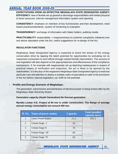**EXPECTATIONS FROM AN EFFECTIVE MEGHALAYA STATE DESIGNATED AGENCY EFFICIENCY**: lean & flexible set up geared to discharge responsibilities with limited physical & fiscal resources, internal management information system and reporting

**CONSISTENCY**: emphasis on retention of key functionaries and their development, need based practices/standards, system of monitoring & evaluation

**TRANSPARENCY**: exchange of information with Stake holders, publicity-media

**PRACTICABILITY:** respectability -+ responsiveness to customer complaints, initiatives over and above stipulated under the Act. useful suggestions for re-design of the Act.

#### **REGULATOR FUNCTIONS**

Meghalaya State Designated Agency is expected to boost the tempo of the energy conservation drive by tapping the latent potential for opportunities by activating not so responsive consumers to such efforts through market friendly interventions. The success of new legislation will also depend on the appropriateness and effectiveness of the compliance mechanisms. If, for example with inappropriate set up depicting inadequacies in respect of practical means of verification and inspection, the act is likely to be ignored by the stakeholders. It is the duty of the respective Meghalaya State Designated Agency to exercise particular care and attention to deploy a suitable cadre of specialists to cater to the provisions of the Act before national legislation can fulfill its full potential.

#### • **Profile and Energy Scenario of Meghalaya :**

The generation, transmission and distribution of electrical power is being looked after by the Meghalaya State Electricity Board.

#### **Generation capacity (Hydel Generation) No thermal generation**

**Myntdu Leskar H.E. Project of 84 mw is under construction. The Range of average annual energy consumption are around 459 mw.** 

|                | <b>Sl. No.</b> Name of power station | <b>Capacity</b> | <b>Total installed</b><br>capacity (mw) |
|----------------|--------------------------------------|-----------------|-----------------------------------------|
|                | <b>Umtru Power Station</b>           | 11.2            | 185.2                                   |
| $\overline{2}$ | Umiam Stage - I                      | 36              |                                         |
| 3              | Umiam Stage-II                       | 18              |                                         |
| 4              | Umiam Stage -III                     | 60              |                                         |
| 5              | Umiam Stage - IV                     | 60              |                                         |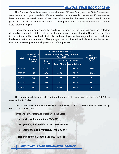The State as of now is facing an acute shortage of Power Supply and the State Government feels that the vast hydel potential of 3000 mw needs to be harnessed at the earliest. Efforts are also been made on the development of transmission line so that the State can evacuate its future generation and also to enable to draw its share of power from the Central Power Sector in the North Eastern Region.

During non- monsoon period, the availability of power is very low and even the restricted demand of power in the State has to be met through import of power from the North East Grid. This is due to the new liberalized industrial policy of Meghalaya that has triggered an unprecedented load growth in the industrial sector of Meghalaya, coupled with the identical growth in other sectors due to accelerated power development and reform process.

|         |                       |                                                    | <b>POWER AVAILABILITY</b>   |                      |                                     |
|---------|-----------------------|----------------------------------------------------|-----------------------------|----------------------|-------------------------------------|
| Year    | Unrestricte<br>d Peak | <b>Power Availability (MW) (Annual</b><br>Average) |                             |                      | <b>Total</b><br><b>Availability</b> |
|         | <b>Demand</b><br>(MW) | <b>State</b>                                       | <b>Central Sector Share</b> |                      | (MW)                                |
|         |                       | <b>Generation</b>                                  | <b>Total Share</b>          | <b>Actual drawal</b> |                                     |
| 2004 05 | <b>220</b>            | 67.75                                              | 78.91                       | 66.39                | 146.66                              |
| 2005 06 | 280                   | 58.76                                              | 82.70                       | 78.07                | 141.46                              |
| 2006 07 | 350                   | 44.60                                              | 73.60                       | 94.70                | 118.20                              |
| 2007 08 | 385                   | 75.60                                              | 85.35                       | 82.79                | 160.95                              |
| 2008 09 | 425                   | 64.40                                              | 98.90                       | 91.60                | 163.20                              |

This has affected the power demand and the unrestricted peak load for the year 2007-08 is projected at 610 MW

Due to transmission constrain, MeSEB can draw only 120-140 MW and 60-80 MW during off-peak and peak hours.

**Present Power Demand Position in the State** 

- **a. industrial release load 260 MW**
- **b. pending industrial load assured 220 MW**
- **c. domestic and commercial load 130 MW**

**Total unrestricted Demand 610 MW ( a+b+c)**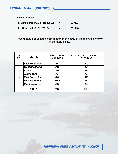#### **Demand forecast**

| a. At the end of 11th Plan (2012) | Ξ. | <b>796 MW</b>  |
|-----------------------------------|----|----------------|
| b. At the end of 12th (2017)      | =  | <b>1281 MW</b> |

#### **Present status of village electrification in the state of Meghalaya is shown in the table below**

| SI.<br>NO.     | <b>DISTRICT</b>         | <b>TOTAL NO. OF</b><br><b>VILLAGES</b> | <b>VILLAGES ELECTRIFIED UPTO</b><br>31.03.2009 |
|----------------|-------------------------|----------------------------------------|------------------------------------------------|
|                | <b>East Khasi Hills</b> | 920                                    | 805                                            |
| 2              | <b>West Khasi Hills</b> | 924                                    | 360                                            |
| 3              | <b>Ri Bhoi</b>          | 543                                    | 427                                            |
| $\overline{4}$ | <b>Jaintia Hills</b>    | 467                                    | 493                                            |
| 5              | <b>East Garo Hills</b>  | 864                                    | 359                                            |
| 6              | <b>West Garo Hills</b>  | 1469                                   | 762                                            |
| 7              | <b>South Garo Hills</b> | 595                                    | 222                                            |
|                | <b>TOTAL</b>            | 5782                                   | 3428                                           |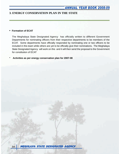## **3. ENERGY CONSERVATION PLAN IN THE STATE**

#### **• Formation of ECAT**

The Meghalaya State Designated Agency has officially written to different Government Departments for nominating officers from their respective departments to be members of the ECAT. Some departments have officially responded by nominating one or two officers to be included in this team while others are yet to be officially give their nominations. The Meghalaya State Designated Agency will work on this and it will then send the proposal to the Government for constitution of ECAT

**· Activities as per energy conservation plan for 2007-08**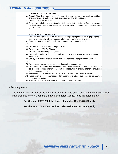|      | <b>D. PUBLICITY / AWARENESS</b>                                                                                                                                                                        |
|------|--------------------------------------------------------------------------------------------------------------------------------------------------------------------------------------------------------|
|      | 6.1 Annual State level conference of energy intensive industry, as well as certified energy managers and energy auditors with award for all categories                                                 |
|      | 6.2 Constitution of EC Awards                                                                                                                                                                          |
|      | 9.0 Design and printing of promotional material to be distributed to all four stakeholders:<br>certified energy managers, accredited energy auditors, designated consumers and<br>general public       |
|      | E. TECHNICAL ASSISTANCE                                                                                                                                                                                |
|      | 15.2 Conduct demo projects (Govt. buildings, water pumping station, sewage pumping<br>station, Municipality, Street lighting system, traffic lighting system, etc.)                                    |
|      | 15.3 DSM demo projects (CFL, peak load management programs, etc.)                                                                                                                                      |
| 15.4 |                                                                                                                                                                                                        |
|      | 15.5 Dissemination of the demon project results                                                                                                                                                        |
|      | 15.6 Development of SMEs Clusters                                                                                                                                                                      |
|      | 15.7 EE in Agricultural Pumping System.                                                                                                                                                                |
|      | 16.0 Preparation and publishing of annual year book of energy conservation measures at<br>State level                                                                                                  |
|      | 17.0 Survey of buildings at state level which fall under the Energy Conservation Act.                                                                                                                  |
| 17.1 |                                                                                                                                                                                                        |
|      | 17.2 Prepare commercial buildings list as designated consumers.                                                                                                                                        |
|      | 18.0 Preparation of report and analysis of state level incentive as well as disincentive<br>policies concerning energy conservation measures in energy intensive industries<br>including power sector. |
|      | 18.1 Publication of State Level Annual Book of Energy Conservation Measures                                                                                                                            |
|      | 19.0 Preparation of recommendation for streamlining state level policies concerning<br>energy conservation                                                                                             |
|      | 19.1 Formulation of state policy and action plan / operational plan                                                                                                                                    |
|      |                                                                                                                                                                                                        |

#### • **Funding status**

The funding pattern out of the budget estimate for five years energy conservation Action Plan prepared by the Meghalaya State Designated Agency is as indicated below:

**For the year 2007-2008 the fund released is Rs. 18,73,000 only** 

**For the year 2008-2009 the fund released is Rs. 22,16,900 only**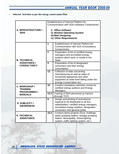• **Selected Activities as per the energy conservation Plan** 

|                                    |                            | Establishment of Internet Platform for                                    |  |  |  |
|------------------------------------|----------------------------|---------------------------------------------------------------------------|--|--|--|
|                                    |                            | Communication with SDA (software Components)                              |  |  |  |
|                                    |                            |                                                                           |  |  |  |
| A. INFRASTRUCTURE /                | <i>i</i> ) Office Software |                                                                           |  |  |  |
| <b>AIDS</b>                        |                            | ii) Window Operating System                                               |  |  |  |
|                                    |                            | iii) Web Designing                                                        |  |  |  |
|                                    |                            | iv) Other Requirements                                                    |  |  |  |
|                                    |                            |                                                                           |  |  |  |
|                                    | 1                          | Establishment of Internet Platform for                                    |  |  |  |
|                                    |                            | Communication with SDA (Consultancy                                       |  |  |  |
|                                    | $\overline{2}$             | Components)                                                               |  |  |  |
|                                    |                            | Preparation of list of certified energy<br>managers and accredited energy |  |  |  |
|                                    |                            | auditors which work or reside in the                                      |  |  |  |
| <b>B. TECHNICAL</b>                |                            | <b>State</b>                                                              |  |  |  |
| <b>ASSISTANCE /</b>                | $\overline{3}$             | Preparation of list of designated                                         |  |  |  |
| <b>CONSULTANCY</b>                 |                            | consumers and their energy                                                |  |  |  |
|                                    |                            | consumption                                                               |  |  |  |
|                                    | 13                         | Collection of data concerning                                             |  |  |  |
|                                    |                            | manufacturing as well as sales of                                         |  |  |  |
|                                    |                            | household appliances and other                                            |  |  |  |
|                                    |                            | equipment at state level falling under the                                |  |  |  |
|                                    |                            | <b>Energy Conservation Act</b>                                            |  |  |  |
| C. WORKSHOP /                      |                            | 10<br>Conduct mandatory refresher course for                              |  |  |  |
| <b>TRAINING</b>                    |                            | certified energy auditors and Energy<br>Managers                          |  |  |  |
| <b>PROGRAMMES/</b>                 | 12.2                       | Training of SDA personnel as trainers                                     |  |  |  |
| <b>MANUALS</b>                     |                            | (through TOT)                                                             |  |  |  |
|                                    | 9                          | Design and printing of promotional                                        |  |  |  |
|                                    |                            | material to be distributed to all four                                    |  |  |  |
| D. PUBLICITY /<br><b>AWARENESS</b> |                            | stakeholders: certified energy managers,                                  |  |  |  |
|                                    |                            | accredited energy auditors, designated                                    |  |  |  |
|                                    |                            | consumers and general public                                              |  |  |  |
|                                    | 15.2                       | Conduct demo projects (Govt. buildings,                                   |  |  |  |
| <b>E. TECHNICAL</b>                |                            | water pumping station, sewage pumping                                     |  |  |  |
| <b>ASSISTANCE</b>                  |                            | station, Municipality, Street lighting                                    |  |  |  |
|                                    |                            | system, traffic lighting system, etc.)                                    |  |  |  |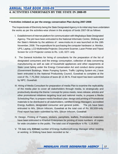## ANNUAL YEAR BOOK 2008-09 **4. ACTIVITIES UNDERTAKEN BY THE STATE IN 2008-09**

#### **• Activities initiated as per the energy conservation Plan during 2007-2008**

The Inspectorate of Electricity being the State Designated Agency in its initial step have undertaken the works as per the activities-wise shown in the analysis of funds 2007-08 as follows

- I. Establishment of Internet platform for communication with Meghalaya State Designated Agency. The job have been entrusted to the National Informatic Centre, Shillong and the State's Website by the address of : www.msda.nic.in was launched on the 18th November, 2008. The expenditure for purchasing the computer hardware i.e. Monitor, UPS, Laptop, LCD Multimedia Projector, Document Scanner, Lazer Printer and Tripod Screen for LCD Projector comes to Rs. 1,63, 027/- only
- II. The General Activities for hiring of consultants for the preparation of the list of designated consumers and the energy consumption, collection of data concerning manufacturing as well as sale of household appliances and other equipments at State Level failing under the Energy Conservation Act and conduct demo projects (Government Buildings, Water Pumping System, Traffic Lighting System etc.) have been entrusted to the National Productivity Council, Guwahati to complete at the cost of Rs. 7,75,284/- inclusive of taxes @ 12.36 %. Final report has been submitted by NPC, Guwahati.
- III. Hiring of Media Consultant for preparation of media Plan to examine the replicability of the media plan to cover all stakeholders through media, to strategically and productively develop the theme / concept for press meets, news release, articles and other promotional initiatives targeting local and national media; to prepare a Media Scheduling Plan; to prepare media feedback plan; design and printing of Promotional materials to be distributed to all stakeholders, certified Energy Managers; accredited Energy Auditors, designated consumer and general public. The job have been entrusted to M/s, Silicon Infocom, Guwahati at the total cost of Rs. 69,500/-only. Final report has been submitted by M/s. Silicon Infocom, Guwahati
- IV. Design, Printing of Posters, stickers, pamphlets, leaflets, Promotional materials\ have been entrusted to Kharbuli Enterprises for printing of more numbers of copies for wide circulation to the public. The total cost of expenditure is Rs. 1,19,950/-.
- V. Till date only **3**(**three**) number of Energy Auditor(s)/Energy Manager either residing or working in Shillong have been recorded so far: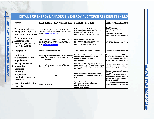| $\frac{1}{8}$     |    |                                                                                                   | DETAILS OF ENERGY MANAGER(S) / ENERGY AUDITOR(S) RESIDING IN SHILLO                                                                                            |                                                                                                                                             |                                                                                                                                                                                                              |
|-------------------|----|---------------------------------------------------------------------------------------------------|----------------------------------------------------------------------------------------------------------------------------------------------------------------|---------------------------------------------------------------------------------------------------------------------------------------------|--------------------------------------------------------------------------------------------------------------------------------------------------------------------------------------------------------------|
|                   |    | $1.$ Name:                                                                                        | <b>SHRI SAMAR RANJAN BISWAS</b>                                                                                                                                | <i><b>SHRI ARVIND RAI</b></i>                                                                                                               | <b>SHRI AKSHAYA KUM</b>                                                                                                                                                                                      |
| MEGHLAYA          |    | <b>Permanent Address</b><br>2. along with Mobile No.,<br>Fax No. and E-mail ID:                   | House No. F-7, Bishnu Rava Path, Odalbakra,<br>Guwahati 781 034. Mobile No. 098630 21834.<br>E-mail. biswassr@yahoo.com.                                       | Vill- Londhawan, P.O. Jamalpur,<br>(U.P.) Mirzapur District. Pin - 231302<br>Mobile No. - 9436160410<br>Email:- arvindrai_cmcl@yahoo.co.in  | <b>Banibihar Aska.</b><br>Dist:- Ganjam, Orissa,<br>Pin-761110<br>Mobile No:- 9856052503<br>Email:- akshayarath@yahoo.c                                                                                      |
| STATE             | 3. | <b>Present name of the</b><br><b>Employer with</b><br>Address: (Tel. No., Fax<br>No. & E-mail ID: | <b>North Eastern Electric Power Corporation,</b><br>Lower New Colony, Shillong 793 003.<br>Ph (0364)2229778, Mobile 09863021834. E-<br>mail biswassr@yahoo.com | <b>Cement Manufacturing Co. Ltd.</b><br>Lumshnong, Jaintia Hills District,<br>Mobile No. - 9862571299<br>Email :- arvindrai@cmcl.co.in      | M/s EAGA Energy India Pvt. L                                                                                                                                                                                 |
|                   |    | 4. Designation:                                                                                   | <b>Deputy General Manager (EI)</b>                                                                                                                             | Asstt. General Manager - Electrical                                                                                                         | <b>Consultant Energy Conservati</b>                                                                                                                                                                          |
| <b>DESIGNATED</b> |    | <b>Duties and</b><br>5. responsibilities in the<br>organization:                                  | Presently posted in the office of the Director<br>(Technical) looking after all technical works of<br>the Corporation.                                         | Working as HOD and also as head of<br><b>Energy Conservation Cell of the</b><br><b>Company (Cement Plants &amp;</b><br><b>Power Plants)</b> | Presently deputed by BEE to $\mu$<br>consultancy service in regard<br><b>Conservation to Meghalaya St</b><br><b>Agency on Energy Conservat</b>                                                               |
| <b>AGENCY</b>     |    | <b>Energy Efficiency</b><br>6. $\vert$ or Auditing<br>activities:                                 | Looks after general areas of Energy<br>Management.                                                                                                             | We have formed Energy Conservation<br>cell and meet every fortnightly to review<br>the energy monitoring and conservation<br>activities     | <b>Providing Consultancy suppo.</b><br>participating in formulation o<br><b>Conservation Policy with Gov</b>                                                                                                 |
|                   | 7. | <b>Training</b><br>programme<br><b>Conducted in energy</b><br>efficiency:                         | Nil                                                                                                                                                            | In house and also by external agency -<br>M/s Confederation of Indian Industries<br>(CII)                                                   | <b>Conduct Awareness Programi</b><br><b>Energy Conservation to Silico</b><br>Industries in Byrnihat on 27 <sup>th</sup><br>awareness programme on S &<br>dealers & distributors in Shillo<br>September, 2009 |
|                   | 8. | Area of Specialization/<br><b>Expertise:</b>                                                      | <b>Electrical Engineering.</b>                                                                                                                                 | Specialization in energy<br>management. Also working as<br>Energy manager our<br><b>Companies/ Groups</b>                                   | <b>BEE Certified Energy Auditor</b><br>Graduate Diploma in Energy N                                                                                                                                          |

## **NDETAILS OF ENERGY MANAGER(S) / ENERGY AUDITOR(S) RESIDING IN SHILLO**

 $\frac{1}{8}$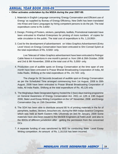#### **• Other activates undertaken by the MSDA during the year 2007-08:**

- 1. Materials in English Language concerning 'Energy Conservation and Efficient use of Energy' as supplied by Bureau of Energy Efficiency, New Delhi has been translated into Khasi and Garo Languages by hiring competent persons to do the job. The total expenditure come to Rs 3,600/-.
- 2. Design, Printing of Posters, stickers, pamphlets, leaflets, Promotional materials\ have been entrusted to Kharbuli Enterprises for printing of more numbers of copies for wide circulation to the public. The total cost of expenditure is Rs. 1,19,950/-.
- 3. Cost for the development of advertisement on Video Graphics Advertisement (Entry Level Voice) on Energy Conservation have been entrusted to Shri Conrad Syiem at the total expenditure of Rs. 8,500/- only.

Live Telecast of Video Graphics advertisement have been entrusted to Peitngor Cable News in 4 insertions in one month's period i.e. from 19th & 26th October, 2008 and 2nd & 9th November, 2008 at the total cost of Rs. 5,000/- only.

4. Production cost of audible spots on Energy Conservation at the time span of one month have been entrusted to Prasar Bharati Broadcasting Corporation of India, All India Radio, Shillong at the total expenditure of Rs. 24,720/- only.

The charge for 30 Seconds broadcast of audible spot on Energy Conservation as per the Scheduled Time arranged commencing from 1st August, 2008 to 30th August, 2008 have been entrusted to Prasar Bharati Broadcasting Corporation of India, All India Radio, Shillong at the total expenditure of Rs. 45,126 only.

- 5. The Meghalaya State Designated Agency hosted the 2 (two) days training programme on General Awareness of Energy Conservation Act, 2001 on 12th & 13th August 2008, State Level Essay Writing Competition on the 14<sup>th</sup> November, 2008 and Energy Conservation Day on 15th December, 2008.
- 6. The SDA has been able to distribute around 80 % of printing materials in the for of pamphlets, leaflets, Stickers, brouchers etc. during the 96th Indian Science Congress which was held at North Eastern Hills University on 3rd-7th January. 2009 Some materials have also been issued to the MeSEB Engineers at Field Level and also to the BDOs of different jurisdiction after getting the permission from the concerned D<sub>Cs</sub>
- 7. A separate funding of was sanctioned by BEE for conducting State Level Essay Writing competition. An amount of Rs. 1,16,016 has been incurred.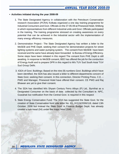#### **• Activities initiated during the year 2008-09**

- 1. The State Designated Agency in collaboration with the Petroleum Conservation research Association (PCRA) Kolkata organized a one day training programme for Industrial Consumers and Govt. Officials on the 27-05-09 at Pinewood Hotel, Shillong in which representatives from different Industrial units and Govt. Officials participated in the training. The training programme stressed on creating awareness on every potential that can be achieved in the Industrial sector with the implementation of many energy efficiency measures.
- 2. Demonstration Project:- The State Designated Agency has written a letter to the MeSEB and PHE Deptt. seeking their consent for demonstration projects for street lighting systems and water pumping system. The consent from MeSEB have been received and the same have already been forwarded to Bureau of Energy Efficiency. Some steps have been initiated in this regard The consent from PHE Deptt is still awaiting. In response to MeSEB consent, BEE has offered the job for the conduction of Energy Audit and to prepare DPR in this regard to M/s TUV Sud South Asia/ TUV Sud Group Delhi.
- 3. IGEA of Govt. Buildings: Based on the nine (9) numbers Govt. Buildings which have been identified, the SDA has also issued a letter to different departments concern of State Govt. seeking their consent. In this connection, Director Printing Press, C.E. – PWD and Manager, Pinewood Hotel have offered their consent. CE PWD and Raj Bhawan are yet to give their consent.
- 4. The SDA has identified M/s Shyam Century Ferro Alloys (P) Ltd., Byrnihat as a Designated Consumer on the basis of data collected by the Consultant ie. NPC, Guwahati but notification from the Central Govt. is required in this respect
- 5. State Energy Conservation Fund: The SDA has suggested the State Govt. for the creation of State Conservation fund vide letter No. IEL.IX/124/2006/118, dated 13th October, 2006 but instead the State Govt. in Finance Budget Deptt. has already created a sub-head (04) under the major head 2045.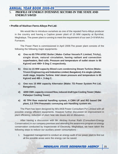## 5. **PROFILE OF ENERGY INTENSIVE SECTORS IN THE STATE AND ENERGY SAVED**

#### • **Profile of Maithan Ferro-Alloys Pvt Ltd:**

We would like to introduce ourselves as one of the reputed Ferro-Alloys producer in the country and having a Captive power plant of 15 MW capacity at Byrnihat, Meghalaya. The power plant is running to meet the requirement of our own 2×9 MVAArc Furnaces.

The Power Plant is commissioned in April 2009.The power plant consists of the following the following major equipments-

- **a) One no 65 TPH AFBC Boiler ( Make- Cethar Vessels P. Limited, Trichy), single drum, natural circulation, having radiant and convection superheaters, Bed coils. Pressure and temperature of outlet steam is 66 Kg/cm2 and 490+ 5 Deg C respectively.**
- b) One no 15 MW capacity Bleed cum condensing Steam Turbine (Make-**Triveni Engineering and Industries Limited, Bangalore). It is single cylinder, multi stage, Impulse Turbine. Intel steam pressure and temperature is 66 Kg/cm2 and 485 +\_5 deg C.**
- **c) One nos 15 MW capacity Alternator (Make: TD Power System Pvt Ltd, Bangalore).**
- d) 4200 CMH .capacity crossed flow, induced draft type Cooling Tower (Make-**Paharpur Cooling Tower)**
- **e) 40 TPH Raw material handling system, 4 CMH UF and RO based DM plant, 2.5 TPH Pneumatic conveying ash Handling system etc.**

The Plant has been designed by M/s AKB Power Consultant Pvt Limited with all possible energy efficient equipments. However further discussion on improvement in plant efficiency, reduction of plant heat rate issues are on discussion.

After having a discussion with Mr. Akshay Kumar Rath (Consultant-Energy Conservation) in our company premises and attending the awareness program on energy conservation conducted by Inspectorate of Electricity, Meghalaya, we have taken the following steps to reduce our auxiliary power consumptions -

1. Suggested management to conduct an energy audit of our power plant to find out all the possible areas were the energy can be saved.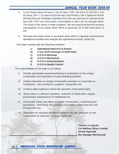- 2. In our Power plant we have 2 nos ID fans (1W+ 1S) each of 135 KW, 2 nos FD fans( 1W + 1 S) each of 310 KW and 2 nos PA fans ( 1W+1 S)each of 45 KW. All these fans are of damper controlled (IGV).We are planning to operate these fans with VFD such that power consumption in fans can be brought down. The study of the same is under progress. We are expecting that the auxiliary consumption of our power plant which is presently 10 % will come down to 9% .
- 3. We have also built a team in our power plant which is regularly monitoring the operational activities and analysis the operational records, trends etc .

This team consists with the following members-

- a) **Operational head of O & M team.**
- **b) 4 nos Shift Incharge of O&M team.**
- **c) H O D in Electrical.**
- **d) H O D in Mechanical.**
- **e) H O D in Instrumentation.**
- **f) H O D in Quality Control.**

The responsibilities of the team is as follows-

- i) Provide appropriate awareness/training to employees on the energy conservation and importance of good operating practices.
- ii) Create awareness on energy conservation amongst our associates ie. Contractors, sub contractors, suppliers, transporters etc.
- iii) Conduct daily meeting to review the operation of the power plant.
- iv) Shear ideas on efficient operation, reduction of down time, regular preventative maintenance of machineries etc.
- v) Continually shear new ideas on power conservation, maximising the generation, minimising the auxiliary consumption,minimising the fuel consumption etc.
- vi) Discussion-on reduction of unburnt carbon in fly ash, reduction on fuel consumption by reduction in various losses etc.

**Thanks & regards For Maithan Alloys Limited Dinesh Agarwala (Dy. Manager Mechanical)**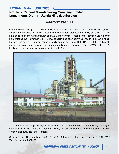## **Profile of Cement Manufacturing Company Limited Lumshnong, Distt. : - Jaintia Hills (Meghalaya)**

## **COMPANY PROFILE**

Cement Manufacturing Company Limited (CMCL) is a member of well known CENTURY PLY group. It was commissioned in February'2005 with initial cement production capacity of 1000 TPD. The plant consists of one Clinckerisation and two Grinding Units. Recently one Thermal captive power plant (Meghalaya Power Limited) of 8-MW capacity has been commissioned in April, 2009 within the same premises. The plant capacity has been upgraded from 1000 TPD to 2000 TPD through major modification and implementation of most advance technologies. Today CMCL is largest & leading cement manufacturing company in North- East.



 CMCL has a full fledged Energy Conservation Cell headed by the competent Energy Manager duly certified by the Bureau of Energy Efficiency for identification and implementation of energy conservation activities in the company.

Specific Energy Consumption in 2008- 09 is 102.80 KWh/ Ton of cement as against 113.94 KWh/ Ton of cement in 2007- 08.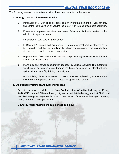The following energy conservation activities have been adapted in the plant –

#### **a. Energy Conservation Measures Taken**:

- 1. Installation of VFD in all cooler fans, coal mill vent fan, cement mill vent fan etc. and controlling the air flow by varying the motor RPM instead of dampers operation.
- 2. Power factor improvement at various stages of electrical distribution system by the addition of capacitor banks.
- 3. Installation of coal stacker & reclaimer.
- 4. In Raw Mill & Cement Mill main drive HT motors external cooling blowers have been installed and shaft mounted impellers have been removed resulting reduction of down time as well as power consumption.
- 5. Replacement of conventional Fluorescent lamps by energy efficient T5 lamps and CFL in colony and plant.
- 6. Plant & colony power consumption reduced by various activities like automatic switching off-on power supply through the timer, optimization of street lighting, optimization of lamp/light fittings capacity etc.
- 7. For Kiln firing circuit roots blower 110 KW motors are replaced by 90 KW and 90 KW motor are replaced by 75 KW motor for optimization of load.

#### **b. Additional investment and further proposals**:

Recently we have called the team from **Confederation of Indian Industry** for Energy Audit. **CMCL** team & **CII** team have jointly conducted detailed energy audit at CMCL and identified Energy Saving Potential of 13.5 Units per ton of Cement estimating to monetary saving of 395.61 Lakhs per annum.

**I. Energy Audit findings are summarized as below :**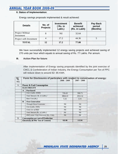#### **II. Status of Implementation**:

Energy savings proposals implemented & result achieved:

| <b>Details</b>                       | No. of<br><b>Projects</b> | <b>Investment</b><br>Rs. in<br>Lakh.) | <b>Benefit</b><br>achieved<br>(Rs. in Lakh) | Pay Back<br>period<br>(Months) |
|--------------------------------------|---------------------------|---------------------------------------|---------------------------------------------|--------------------------------|
| <b>Project Without</b><br>Investment | 8                         | Nil                                   | 32.64                                       |                                |
| Project with Investment              |                           | 17.2                                  | 44.36                                       |                                |
| <b>TOTAL</b>                         | 12                        | 17.2                                  | 77.00                                       |                                |

We have successfully implemented 12 energy saving projects and achieved saving of 270 units per hour which equals to annual saving of Rs. 77 Lakhs. Per annum.

#### **III. Action Plan for future**:

After Implementation of Energy saving proposals identified by the joint exercise of CMCL & Confederation of Indian Industry, the Energy Consumption per Ton of PPC will reduce down to around 82- 85 KWh.

| $\overline{I_{SL}}$ |              | Form for Disclosures of particulars with respect to conversation of energy: |               |               |  |
|---------------------|--------------|-----------------------------------------------------------------------------|---------------|---------------|--|
| NO.                 |              |                                                                             | $2008 - 2009$ | $2007 - 2008$ |  |
|                     |              |                                                                             |               |               |  |
| A.                  |              | <b>Power &amp; Fuel Consumption</b>                                         |               |               |  |
|                     |              | <b>ELECTRICITY</b>                                                          |               |               |  |
|                     | $\mathbf{A}$ | <b>Purchased</b>                                                            |               |               |  |
|                     |              | Unit (Lakhs. KWH)                                                           | 726.43        | 590.71        |  |
|                     |              | Total Amount (Rs. in Lakhs.)                                                | 3864.22       | 1953.52       |  |
|                     |              | Rate/Unit (Rs.)                                                             | 5.32          | 3.31          |  |
|                     | <sup>B</sup> | <b>Own Generation</b>                                                       |               |               |  |
|                     |              | <b>Through Diesel Generator</b>                                             | <b>Nil</b>    | <b>Nil</b>    |  |
|                     |              | Unit (Lakhs. KWh)                                                           | <b>Nil</b>    | <b>Nil</b>    |  |
|                     |              | Units/Ltr of HSD                                                            | <b>Nil</b>    | <b>Nil</b>    |  |
|                     |              | Total Amount (Rs. in Lakhs.)                                                | <b>Nil</b>    | <b>Nil</b>    |  |
|                     |              | HSD const./ Unit Generated (Rs./ Unit)                                      | Nil           | <b>Nil</b>    |  |
| <b>B.</b>           |              | <b>Consumption per unit of Production</b>                                   |               |               |  |
|                     |              | <b>Electricity (KWh/Ton of Cement)</b>                                      | 102.80        | 113.94        |  |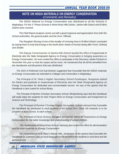## **NOTE ON MSDA MATERIALS ON ENERGY CONSERVATION**  (Comments and Remarks)

The MSDA Material on Energy Conservation was distributed to all the Schools in Meghalaya. For the 1<sup>st</sup> Phase Schools in West Khasi Hills District, Jaintia Hills District and Ri-Bhoi District were covered.

The Field Report analysis comes out with a good response and appreciation from both the School authorities, the general public and the Govt. Officials.

The Rangbah Shnong of one of the locality of Umsning Area in Ri-Bhoi District concluded by saying that it is truly that Energy is the fourth basic needs of Human being after Food, Clothing and Shelter.

The Deputy Commissioner of Jaintia Hills District lauded the effort of Inspectorate of Electricity also the State Designated Agency on Energy Conservation in bringing awareness on Energy Conservation. He even invited the office to participate in the Discovery Jaintia Festival on November this year so that the impact will be more. He mentioned that all will be benefited from the Handbooks and Broachers that was distributed.

The SDO of Khliehriat Civil Sub-Division suggested that if possible that the MSDA materials on Energy Conservation be extended to Colleges and Universities in Meghalaya.

The Principal of St. Peter's Higher Secondary School Pyndengrei, Nongstoin extend his thanks and gratitude to Inspectorate of Electricity also the State Designated Agency on Energy Conservation for dedicated and commendable service. He was of the opinion that the Handbook is best suited for school library.

The Principal of Mynken Christian Secondary School, Bhoilymbong says that the Handbook will really helps the students for their Project Work on Energy Conservation and Assignment on Science and Technology.

The Principal of Rymbai Christian Higher Secondary School advised that if possible the Handbook be distributed to each students of his school from Class VIII onwards or to be provided at least 10 nos. to each school.

The Principal of Oesis School, Nongpoh invited the Office for Awareness on Energy Conservation for the better knowledge and understanding of school children.

 The Headmaster of Seng Khasi School, Mairang also invited the office for demonstration and for more materials on Energy Conservation.

The Headmistress of St. Mary's Marian Hills, Jowai were of the opinion that if possible the Handbook be published also on local language for the benefit of the students in rural area and the general public.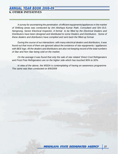## ANNUAL YEAR BOOK 2008-09 **6. OTHER INITIATIVES**

A survey for ascertaining the penetration of efficient equipments/appliances in the market of Shillong areas was conducted by shri Akshaya Kumar Rath, Consultant and Shri B.D. Nengnong, Senior Electrical Inspector. A format to be filled by the Electrical Dealers and Distributors have been designed and distributed to some Dealers and Distributors. Some of these dealers and distributors have complied and sent back the filled-up format.

During the course of our interactions with many electrical dealers and distributors, it was found out that most of them are ignorant about the existence of star equipments / appliances with BEE logo. All the dealers and distributors are also not keeping record of the total numbers of Star and Non Star being sold on the market.

On the average it was found that only the sale of star related 'Direct Cool Refrigerators and Frost Free Refrigerators are on the higher side which has touched 90% to 92%.

In view of the above, the MSDA is contemplating of having an awareness programme. The same was then conducted on 8/9/2009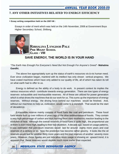#### **7. ANY OTHER INITIATIVES RELATED TO ENERGY EFFICIENCY**

**• Essay writing competition held on the 2007-08 :** 

Essays in order of merit which was held on the 14th November, 2008 at Government Boys Higher Secondary School, Shillong.



**RIBHALINA LYNGDOH PALE PINE MOUNT SCHOOL CLASS - VIII** 

## **SAVE ENERGY, THE WORLD IS IN YOUR HAND**

"The Earth Has Enough For Everyone's Need But Not Enough For Anyone's Greed"- **Mahatma Gandhi.** 

The above live appropriately sum up the status of earth's resources vis-à-vis human need. Ever since civilization began, mankind with its intellect has only shown vertical progress. We have crated machines which have only added to our quality of life, all of which has taken its toll on what earth had to offer to us.

Energy is defined as the ability of a body to do work. In present context its implies the various resources which contribute towards energy generation. There are tow types of energy reserves- exhaustible and inexhaustible reserves. All of these are utilized for power generation which is what drives the machines that do our work for us. This sums up the importance of energy reserves. Without energy, the driving force behind our machines would be finished. And, without our machines to help us, civilization would come to a standstill. That would be the start of decadence.

Exhaustible reserve mainly consists of fossil fuels like coal and petroleum. These fossil fuels where built up over millions of years ago of the slow sedimentation of fossils. They contain a very high percentage of carbon and thus burning them stars exothermic reaction leading to the evolution of heat. Although the overall reserves of fossil fuels is quite high, the proportional use of them is even more high, leading to their fast depletion. A decade ago, based on usage patterns, it was estimated that petroleum reserves would last for around eighty more years and coal reserves of a century or so. Now the prediction has become rather gloomy. It looks like the oil reserves would last for another thirty more years and the coal reserves of another seventy more years. However, these figures are just indicative since usage is showing an upward trend, it is apparent that these reserves would deplete much more earlier than expected.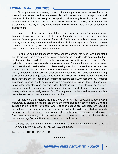Oil, as petroleum is commonly known, is the most precious resources ever known to mankind. It is the fuel that drives the automobiles, ship, aircrafts such is the importance of oil on the would that global markets go into an uprising or downswing depending on the oil prices as economies develop and more and more people attain upward mobility, it is but natural that the automobile industry will only move forward, which will mean more an more dependence on petroleum.

Coal, on the other hand, is essential for electric power generation. Though technology has made it possible to generate electric power from other resources, yet more than sixty percent of electric power is produced from coal. Coal's importance is also seen in the iron industry, steel industry and cement industry where it is the primary source of thermal energy . Like automobiles, iron, steel and cement industry are crucial to infrastructure development and are invariably linked to economic progress.

Having realized the importance of these energy reserves, the need is to understand how to manage there resources so as not to hamper their growth while ensuring that their are backup options available to us in the event of non-availability of such resources. One option is to deviate more towards renewable sources of energy like the sun, wind, water which are virtually inexhaustible and clean. Having said that , we need to understand that technology is still nascent and the inexhaustible reserves are even now not a viable option for energy generation. Solar cells and solar powered cares have been developed, but making them operational on a large scale needs cost cutting which is still being worked on. So is the case with wind energy. Though hydel energy is becoming popular, the resultant environmental degradation associated with dams makes public sentiment go against them. If technology can develop further then nuclear energy is the ultimate source of energy for power generation. A new breed of hybrid cars are slowly entering the markets which run on a rechargeable battery and makes as negligible use of oil. The only setback is the price however, this will no doubt be resolved through future mass production.

Ultimately, it is only efforts at the macro-level which can really boost energy conservation measures. Everyone, by making little efforts of our own can help in saving energy. By using carpools in place of our own cars, wherever such options are available. By reducing dependence on air conditioners and refrigerators. All such small efforts which go towards saving energy also go towards global warming, thereby, benefiting us in more ways than one. The power to save energy is in our hand so we must conserve it now or it will be too late to quote a passage from the Upanishads, the famous Hindu text –

"Oh lord, help us give back to mother earth what we have taken from her. Give us the understanding not to strike her with our vitals and entails"

Like they say, THE CHOICE IS OURS

**>**  $\infty$  $\infty$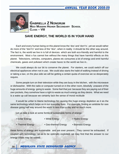

**GABRIELLA Z NONGRUM MIZO MODERN HIGHER SECONDARY SCHOOL CLASS – VIII** 

## **SAVE ENERGY, THE WORLD IS IN YOUR HAND**

Each and every human being on this planet know the 'dos' and 'don't's', yet we would rather do more of the "don't's" and less of the "dos", when in reality it should be the other way around. The fact is, the world we live in is full of devices which are both eco-friendly and harmful to the environment. Most o fus cannot live without the many things that have harmful effects on this planet. Televisions, vehicles, computers, planes etc consumes a lot of energy and emit harmful chemicals, gases and pollutant which create havoc to the world we live in..

We could always do our bit to conserve the planet. For starters, we could switch off our electrical appliances when not in use. We could also starts the habit of walking instead of driving or taking a taxi, on the plus side we will be getting a certain quota of exercise we so desperately require.

Some people turn on their television while they are busy in the kitchen, with the microwave or dishwasher. With the radio or computer turned on in the other room, blissfully unaware of the huge amounts of energy going to waste. Some feel that just because they are paying out of their own pockets, they somehow have a right to waste as much energy as they desire. What we need is a wake up call because we certainly lack the sense of moral rectitude

It would be unfair to blame technology for causing this huge energy depletion as it sis the same technology which helps us in our everyday lives. For example, finding an antidote for rare disease going half way around the world in less than a day and so much more.

Let us take a look at some forms of sustainable forms of energy:

- Solar Energy Wind Energy Hydro Energy
- Thermal Energy Geo-thermal Energy Biomass Energy

these forms of energy are sustainable and are ever present. They cannot be exhausted. If coupled with technology so as to be optimally exploited, we may find that the answer to our energy crises may be solved.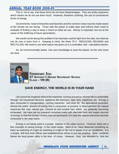This is not to say that these forms do not have disadvantages. They are pretty expensive which means we do not use them much. However, therefore confining the use of conventional forms of energy.

Governments, head of industries and factories and the common mass must be made aware of the threats we are facing. Those with the power to make laws and enforce them need to evaluate of finding a way to keep a check on what we use. Money is important, but not at the cause of the buffering of future generations.

We would not be facing this problem if we had been careful right form the start, but what we can do now is learn from it. Keeping in mind, the three "R`s" REDUCING, REUSING and RECYCLING. We need to use what nature has given us in a controlled, well - calculated manner.

So, be environmentally aware. Use your knowledge to save the planet, Its the only home we have.



**SIDDHART JHA ST ANTHONY'S HIGHER SECONDARY SCHOOL CLASS – VIII (B)** 

## **SAVE ENERGY, THE WORLD IS IN YOUR HAND**

Life cannot be imagined without the machines running around us. Human life is comfortable through the household electrical appliance like television, light, fans, telephone, etc. Energy is also consumed in transportation, running industries and even for the agricultural purposed. Almost the entire amount of energy that is consumed, at present, is observed form the natural resources like coal, natural gas, mineral oil and nuclear fuel, which are gradually becoming exhausted. We have yet not prepared ourselves ready with alternate fuels and supply sources of energy so that the human comfort may not decreased, if in case the natural resources become exhausted in the near future.

Energy is not being used in a proper manner in the urban centres. However, there are a few concepts of saving energy in the urban areas. Most of us have observed something as basic as switching of a light as switching of a light or fan not to speak of an air conditioner, it is a simple drill that most offices and establishments refuse to put into practice. Most residents blame the local power utility in the time of crises. However, they are reluctant to limit the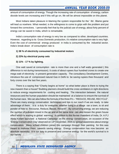amount of consumption of energy. Though the increasing rate of consumption of energy, carbon dioxide levels are increasing and if this will go on, life will be almost impossible on this planet.

Most Indians taken pleasure in blaming the system responsible for the ' ills'. Blame game will lead us nowhere. What needed, is the willingness to come to grips with the problem and put forward the correctives. I personally feel that by the judicial use of energy, about forty percent of energy can be saved in India, which is remarkable.

India's consumption rate of energy is very low as compared to other, developed countries. However, regarding to its Gross Domestic production, it's relative consumption rate is very high. Even the cost of commercial energy produced in India is consumed by the industrial sector. India's break-down of consumption rate is

#### **1) 38 % of electricity consumed by Industrial motors**

#### **2) 23% by electrical pump sets**

**3) 11% - 17 % by lighting.** 

One watt saved at consumption rate is more than one and a half watts generated ( this difference is not during transmission). It costs of about rupees four hundred crores to create one mega watt of electricity in present generation capacity. The consultancy Development Centre, introduce the use of compressed natural Gas in Delhi to be saving rupees thee thousand and forty crores over the last five years.

There is a saying that "Charity begins at home" so what better place is there to trying the new maseim than a house? Building planners should build the cross ventilators in right directions to reduce energy requirements for cooling and heating. The interaction between the natural resources and the human population should be maintained at a balance to ensure the survival of the human race. We can also follow the formula of the three R's – "REDUCE, REUSE, RECYCLE". There are many energy conservation techniques and tips in our reach if we are ready to take advantage of them. It is a duty for everyone, whether living in a village oar a town, to sit and ponder of how to Recourse, Reduce, Reuse, Recycle". By conserving energy, we are reducing the number of pollutant mixed in the air and at the same time can also lessen the green house effect which is leading to global warming. In addition to this former President of India, Dr. A.P.J Abdul Kalam launched a National Campaign on the energy conservation, on occasion of the 'Energy Conservation Day' observed on 14<sup>th</sup> December, 2005 to spread awareness about energy conservation. Many school children joined this campaign through their painting for this was meant to motivate them towards saving energy. Energy conservation has now become an absolute necessity. It is our duty to preserve and conserve energy for the world's survival is in our hands.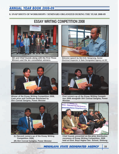#### **8. SNAP SHOTS OF WORKSHOPS / SEMINARS ORGANIZED DURING THE YEAR 2008-09**

# **ESSAY WRITING COMPETITION 2008**



**SEI and Chief Guests along with the First Three Winners and the ten consolation winners.** 



**Winner of the Essay Writing Competition 2008, Cash prize and Certificate distributed by Shri Conrad Sangma, Power Minister** 



- **(L) Second runners-up of the Essay Writing Competition 2008,**
- **(R) Shri Conrad Sangma, Power Minister**



**Welcome speech by Shri B.D. Nengnong, Senior Electrical Inspector & State Designated Agency on EC** 



**First runners-up of the Essay Writing Competition 2008 alongwith Shri Conrad Sangma, Power Minister** 



**Chief Guests presented on the prize distribution ceromony of Essay Writing Competition, 2008 held at Govt. Boys Higher Sec. School, Shillong.**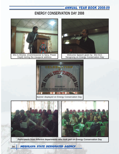# **ENERGY CONSERVATION DAY 2008**



Shri A.Shome, (Commissioner & Secy, Power Deptt) during the inaugural address



Welcome Speech given by Shri B.D. Nengnong on Energy Conservation Day



Banner displayed on Energy Conservation Day



**Participants from different departments who took part on Energy Conservation Day**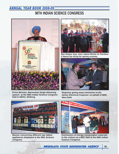# **96TH INDIAN SCIENCE CONGRESS**



**Prime Minister, Manmohan Singh delivering speech at the 96th Indian Science Congress held in NEHU, Shillong** 



**Mani Shankar Aiyar, Union Cabinet Minister for Petroleum & Natural Gas during the opening ceronomy** 



**Registrar giving away mementos to the Senior Electrical Inspector on behalf of BEE, New Delhi** 



**Congress Science Congress** 



**Banner concerning different star labled bistribution of energy conservation materials appliances displayed at the 96th Science to the visitors at a BEE Stall at the 96th Indian** to the visitors at a BEE Stall at the 96th Indian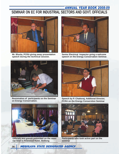## ANNUAL YEAR BOOK 2008-09 **SEMINAR ON EC FOR INDUSTRIAL SECTORS AND GOVT. OFFICIALS**



**Mr. Bhutia, PCRA giving away presentation speech during the technical session.** 



**Senior Electrical Inspector gving a welcome speech on the Energy Conservation Seminar.** 



**Resistration of participants on the Seminar on Energy Conservation.** 



**Speech by P. Chattoraj, Additonal Director, PCRA on the Energy Conservtion Seminar** 



**Participants who took active part on the seminar** 



**Officials and guests presented on the seminar held in Pinewood Hotel, Shillong**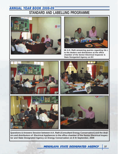## ANNUAL YEAR BOOK 2008-09 **STANDARD AND LABELLING PROGRAMME**





**Mr A.K. Rath answering queries regarding S& L to the dealers and distributors at the office chamber of the Senior Electrical Inspector & State Desiganted Agency on EC** 



**Questions & Answers Session between A.K. Rath (Consultant Energy Conservation) and the dealers and distributors of Electrical Appliances in the office chamber of the Senior Electrical Inspector and State Designated Agency on Energy Conservation on 8 th September, 2009**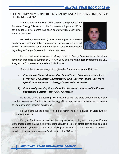# **9. CONSULTANCY SUPPORT GIVEN BY EAGA ENERGY INDIA PVT.** LTD, KOLKOTA

Shri Akshaya Kumar Rath (BEE certified energy Auditor) by Bureau of Energy Efficiency provide Consultancy Support to MSDA for a period of nine months has been operating with MSDA since from  $1<sup>st</sup>$  July, 2009.

Mr. Akshaya Kumar Rath (Consultant Energy Conservation) has been very instrumental in energy conservation activities initiated by MSDA and also he has given a number of valuable suggestions regarding to Energy Conservation related activities.

![](_page_37_Picture_4.jpeg)

He has conducted one Awareness Programmes on Energy Conservation for the silicon ferro alloy industries in Byrnihat on 27<sup>th</sup> July, 2009 and one Awareness Programme on S&L Programme for the electrical dealers & distributors.

Some of the important suggestions given by Shri Akshaya Kumar Rath are :-

- i) **Formation of Energy Conservation Action Team Comprising of members of various Government Departments/Public Sectors/ Private Sectors in specific domain related to Energy Conservation activities.**
- **ii)** Creation of governing Council monitor the overall progress of the Energy **Conservation Action Team (ECAT) members.**

He is also taking the leading role to negotiate with the state government to make mandatory gazette notifications for use of energy efficient appliances to motivate the consumers to use only energy efficient appliances.

He also acts as the solicitor to the government in formulation of State Energy Conservation Policy.

Design of software module for the purpose of recording and storage of Energy Consumption data having a link with demonstration project of street lighting and pumping station, domestic, commercial and office building and also the data for the industrial consumers besides other works of revamping/ redesigning of MSDA website.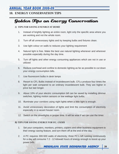## **10. ENERGY CONSERVATION TIPS**

# Golden Tips on Energy Conservation

#### *1) TIPS FOR SAVING ENENRGY AT HOME*

- 1. Instead of brightly lighting an entire room, light only the specific area where you are working and not the whole room.
- 2. Turn off all unnecessary lights and try keeping bulbs and fixtures clean.
- 3. Use light colour on walls to reduces your lighting requirement
- 4. Natural light is free. Make the best use natural lighting whenever and wherever possible especially during the day time.
- 5. Turn off lights and other energy consuming appliances which are not in use or utilized
- 6. Reduce overhead and confine to domestic lighting as far as possible to cut down your energy consumption bills.
- 7. Use fluorescent bulbs in desk lamps
- 8. Resort to CFL Bulbs instead of incandescent bulb. CFLs produce four times the light per watt compared to an ordinary incandescent bulb. They are higher in price but last longer.
- 9. About 10% of your electric consumption bill can be saved by installing dimmer switches, lighting motion sensors or low wattage light bulbs.
- 10. Illuminate your corridors using night lights when a little light is enough.
- 11. Avoid unnecessary decoration of lights and limit the consumption of electricity especially in a vacant house/ room.
- 12. Switch on the streetlights in proper time. It will be wise if we can use the timer.

#### *B) TIPS FOR SAVING ENERGY FOR P.C. USERS*

- 1. Set your computers, monitors, printers, copiers and other business equipment to their energy saving feature, and turn them off at the end of the day.
- 2. A PC requires 300-500 watts of electricity; three PC's left running continuously for a day will consume 7.2 - 12 kilowatt hours of energy enough to boost up your power bills.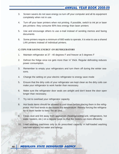- 3. Screen savers do not save energy so turn off your computer and all its equipment completely when not in use.
- 4. Turn off your laser printers when not printing. If possible, switch to ink jet or laser jets printers- they consume 90% less energy than laser printers
- 5. Use and encourage others to use e-mail instead of sending memos and faxing documents
- 6. Some printers require a minimum of 660 watts to operate, it is wise to use a shared LAN printers instead of individual printers.

#### *C) TIPS FOR SAVING ENERGY ON REFRIGERATORS*

- 1. Maintain refrigerator at 37 40 degrees F and freezer at 5 degrees F
- 2. Defrost the fridge once ice gets more than  $\frac{1}{4}$ " thick. Regular defrosting reduces power consumption.
- 3. Remember to empty your refrigerators and turn them off during the winter seasons.
- 4. Change the setting on your electric refrigerator to energy save mode
- 5. Ensure that the dirty coils of your refrigerator are kept clean as the dirty coils can make your refrigerator to work harder than necessary.
- 6. Make sure the refrigerator door seals are airtight and don't leave the door open longer than necessary.
- 7. Try not to overload your refrigerator capacity.
- 8. Hot foods items should be allowed to cool down before placing them in the refrigerator. Hot food tends to decreases the temperature, thereby forcing the refrigerator to work harder to keep the air cool.
- 9. Clean dust and lint away from appliances (heating/cooling unit, refrigerators, hot water heaters, etc.) on a regular basis so that the motors run more efficiently
- 10. Load washing machines only to its prescribed capacity. A half-loaded washing machine wastes hot water and energy.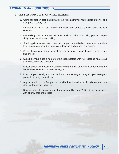#### **D) TIPS FOR SAVING ENERGY WHILE HEATING**

- 1. Using of Halogen floor lamps may prove futile as they consumes lots of power and may pose a safety risk
- 2. Instead of turning on your heaters, wear a sweater or add a blanket during the cold seasons
- 3. Use ceiling fans to circulate warm air in winter rather than using your AC, especially in rooms with high ceilings.
- 4. Small appliances use less power than larger ones. Wisely choose your new electrical appliances based on your wise decision and as per your needs.
- 5. Cover the pots and pans and cook several dishes at once in the oven, to save time and energy.
- 6. Substitute your electric heaters or halogen heaters with fluorescence heaters as they consumes lots of energy.
- 7. Unless absolutely necessary, consider using a fan to an air conditioner during the hot summer seasons . It saves energy too.
- 8. Don't set your hairdryer to the maximum heat setting, not only will you save your power bills, but your scalp too.
- 9. Appliances (irons, coffee pots, etc.) with time limited shut off switches are very ideal for low energy charges.
- 10. Replace your old aging electrical appliances, like TVs, VCRs etc when needed, with energy efficient models.